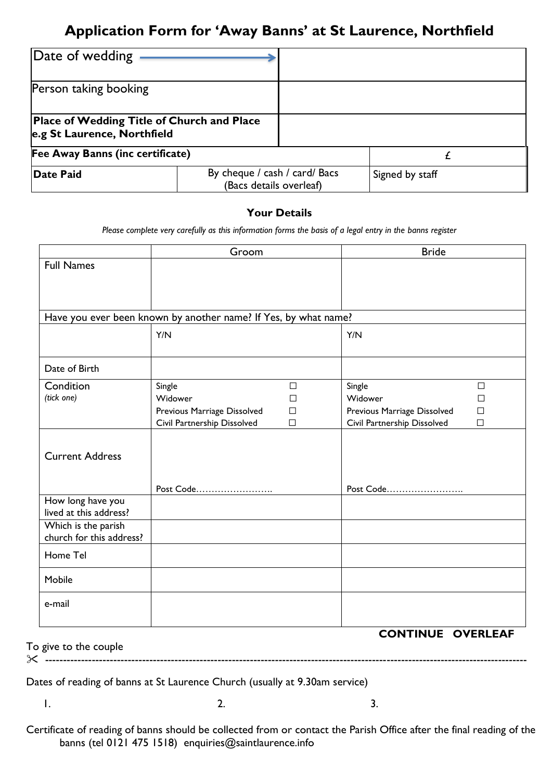## **Application Form for 'Away Banns' at St Laurence, Northfield**

| Date of wedding                                                                  |                                                          |  |                 |  |
|----------------------------------------------------------------------------------|----------------------------------------------------------|--|-----------------|--|
| Person taking booking                                                            |                                                          |  |                 |  |
| <b>Place of Wedding Title of Church and Place</b><br>e.g St Laurence, Northfield |                                                          |  |                 |  |
| Fee Away Banns (inc certificate)                                                 |                                                          |  |                 |  |
| Date Paid                                                                        | By cheque / cash / card/ Bacs<br>(Bacs details overleaf) |  | Signed by staff |  |

## **Your Details**

*Please complete very carefully as this information forms the basis of a legal entry in the banns register* 

|                          | Groom                                                           |        | <b>Bride</b>                |                 |
|--------------------------|-----------------------------------------------------------------|--------|-----------------------------|-----------------|
| <b>Full Names</b>        |                                                                 |        |                             |                 |
|                          |                                                                 |        |                             |                 |
|                          |                                                                 |        |                             |                 |
|                          | Have you ever been known by another name? If Yes, by what name? |        |                             |                 |
|                          | Y/N                                                             |        | Y/N                         |                 |
| Date of Birth            |                                                                 |        |                             |                 |
| Condition                | Single                                                          | $\Box$ | Single                      | $\Box$          |
| (tick one)               | Widower                                                         | П      | Widower                     | $\Box$          |
|                          | Previous Marriage Dissolved                                     | $\Box$ | Previous Marriage Dissolved | $\Box$          |
|                          | Civil Partnership Dissolved                                     | $\Box$ | Civil Partnership Dissolved | $\Box$          |
|                          |                                                                 |        |                             |                 |
| <b>Current Address</b>   |                                                                 |        |                             |                 |
|                          |                                                                 |        |                             |                 |
|                          |                                                                 |        |                             |                 |
| How long have you        | Post Code                                                       |        | Post Code                   |                 |
| lived at this address?   |                                                                 |        |                             |                 |
| Which is the parish      |                                                                 |        |                             |                 |
| church for this address? |                                                                 |        |                             |                 |
| Home Tel                 |                                                                 |        |                             |                 |
| Mobile                   |                                                                 |        |                             |                 |
| e-mail                   |                                                                 |        |                             |                 |
|                          |                                                                 |        |                             |                 |
|                          |                                                                 |        | <b>CONTINUE</b>             | <b>OVERLEAF</b> |

To give to the couple

--------------------------------------------------------------------------------------------------------------------------------------

Dates of reading of banns at St Laurence Church (usually at 9.30am service)

 $1.$  2.  $3.$ 

Certificate of reading of banns should be collected from or contact the Parish Office after the final reading of the banns (tel 0121 475 1518) enquiries@saintlaurence.info